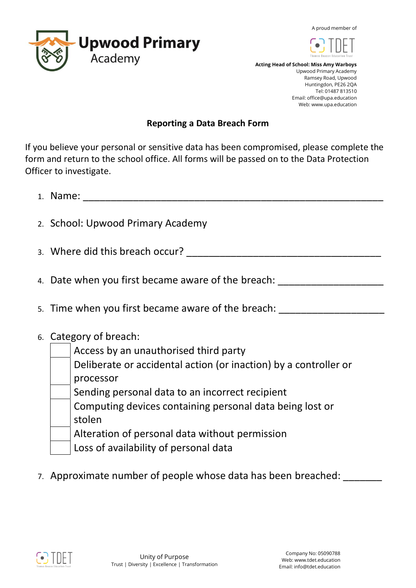A proud member of





 **Acting Head of School: Miss Amy Warboys** Upwood Primary Academy Ramsey Road, Upwood Huntingdon, PE26 2QA Tel: 01487 813510 Email: office@upa.education Web: www.upa.education

## **Reporting a Data Breach Form**

If you believe your personal or sensitive data has been compromised, please complete the form and return to the school office. All forms will be passed on to the Data Protection Officer to investigate.

- 1. Name:
- 2. School: Upwood Primary Academy
- 3. Where did this breach occur? \_\_\_\_\_\_\_\_\_\_\_\_\_\_\_\_\_\_\_\_\_\_\_\_\_\_\_\_\_\_\_\_\_\_\_
- 4. Date when you first became aware of the breach:
- 5. Time when you first became aware of the breach:
- 6. Category of breach:
	- Access by an unauthorised third party
	- Deliberate or accidental action (or inaction) by a controller or processor
	- Sending personal data to an incorrect recipient
	- Computing devices containing personal data being lost or stolen
	- Alteration of personal data without permission
	- Loss of availability of personal data
- 7. Approximate number of people whose data has been breached: